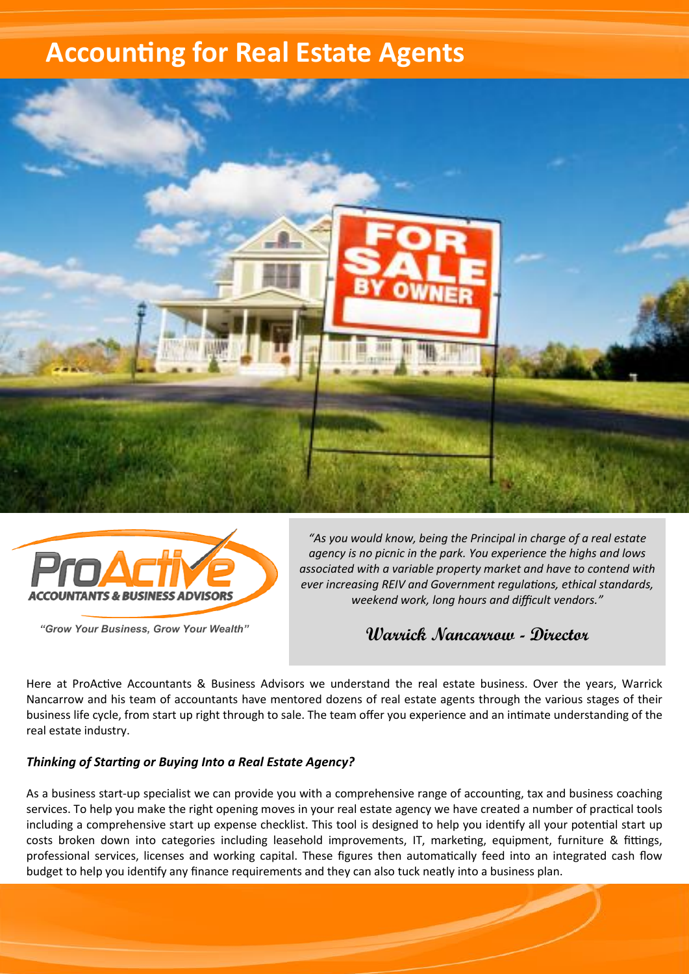# **Accounting for Real Estate Agents**





*"Grow Your Business, Grow Your Wealth"* 

*"As you would know, being the Principal in charge of a real estate agency is no picnic in the park. You experience the highs and lows associated with a variable property market and have to contend with ever increasing REIV and Government regulations, ethical standards, weekend work, long hours and difficult vendors."*

**Warrick Nancarrow - Director**

<u>a shekara ta 1999 </u>

Here at ProActive Accountants & Business Advisors we understand the real estate business. Over the years, Warrick Nancarrow and his team of accountants have mentored dozens of real estate agents through the various stages of their business life cycle, from start up right through to sale. The team offer you experience and an intimate understanding of the real estate industry.

#### *Thinking of Starting or Buying Into a Real Estate Agency?*

As a business start-up specialist we can provide you with a comprehensive range of accounting, tax and business coaching services. To help you make the right opening moves in your real estate agency we have created a number of practical tools including a comprehensive start up expense checklist. This tool is designed to help you identify all your potential start up costs broken down into categories including leasehold improvements, IT, marketing, equipment, furniture & fittings, professional services, licenses and working capital. These figures then automatically feed into an integrated cash flow budget to help you identify any finance requirements and they can also tuck neatly into a business plan.